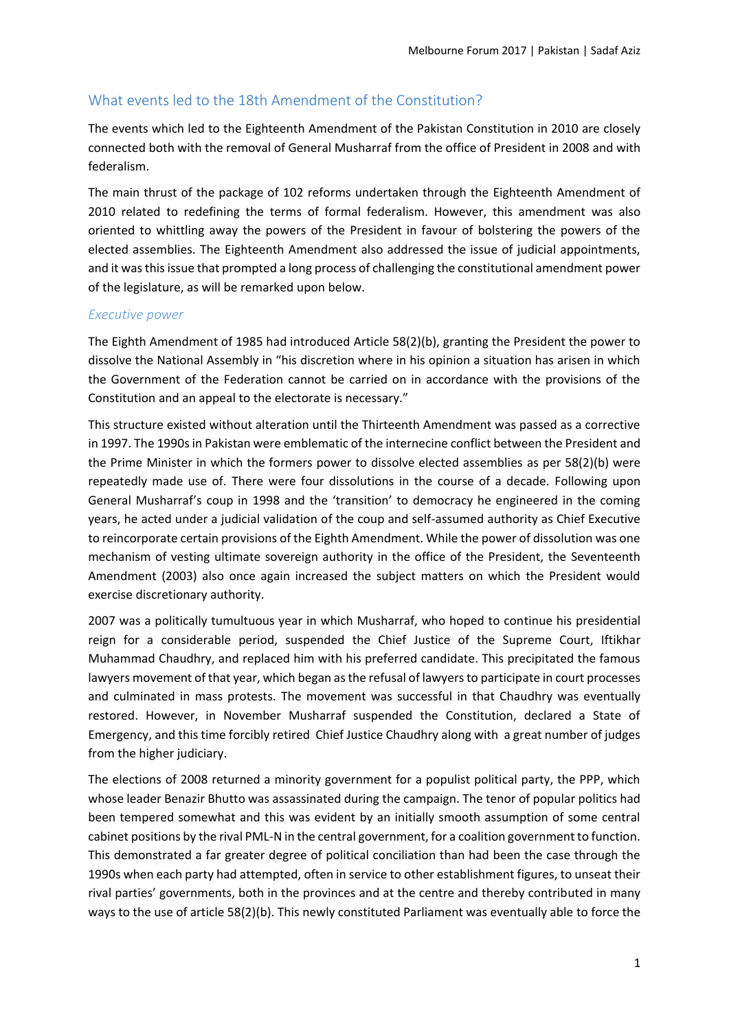### What events led to the 18th Amendment of the Constitution?

The events which led to the Eighteenth Amendment of the Pakistan Constitution in 2010 are closely connected both with the removal of General Musharraf from the office of President in 2008 and with federalism.

The main thrust of the package of 102 reforms undertaken through the Eighteenth Amendment of 2010 related to redefining the terms of formal federalism. However, this amendment was also oriented to whittling away the powers of the President in favour of bolstering the powers of the elected assemblies. The Eighteenth Amendment also addressed the issue of judicial appointments, and it was this issue that prompted a long process of challenging the constitutional amendment power of the legislature, as will be remarked upon below.

#### *Executive power*

The Eighth Amendment of 1985 had introduced Article 58(2)(b), granting the President the power to dissolve the National Assembly in "his discretion where in his opinion a situation has arisen in which the Government of the Federation cannot be carried on in accordance with the provisions of the Constitution and an appeal to the electorate is necessary."

This structure existed without alteration until the Thirteenth Amendment was passed as a corrective in 1997. The 1990s in Pakistan were emblematic of the internecine conflict between the President and the Prime Minister in which the formers power to dissolve elected assemblies as per 58(2)(b) were repeatedly made use of. There were four dissolutions in the course of a decade. Following upon General Musharraf's coup in 1998 and the 'transition' to democracy he engineered in the coming years, he acted under a judicial validation of the coup and self-assumed authority as Chief Executive to reincorporate certain provisions of the Eighth Amendment. While the power of dissolution was one mechanism of vesting ultimate sovereign authority in the office of the President, the Seventeenth Amendment (2003) also once again increased the subject matters on which the President would exercise discretionary authority.

2007 was a politically tumultuous year in which Musharraf, who hoped to continue his presidential reign for a considerable period, suspended the Chief Justice of the Supreme Court, Iftikhar Muhammad Chaudhry, and replaced him with his preferred candidate. This precipitated the famous lawyers movement of that year, which began as the refusal of lawyers to participate in court processes and culminated in mass protests. The movement was successful in that Chaudhry was eventually restored. However, in November Musharraf suspended the Constitution, declared a State of Emergency, and this time forcibly retired Chief Justice Chaudhry along with a great number of judges from the higher judiciary.

The elections of 2008 returned a minority government for a populist political party, the PPP, which whose leader Benazir Bhutto was assassinated during the campaign. The tenor of popular politics had been tempered somewhat and this was evident by an initially smooth assumption of some central cabinet positions by the rival PML-N in the central government, for a coalition government to function. This demonstrated a far greater degree of political conciliation than had been the case through the 1990s when each party had attempted, often in service to other establishment figures, to unseat their rival parties' governments, both in the provinces and at the centre and thereby contributed in many ways to the use of article 58(2)(b). This newly constituted Parliament was eventually able to force the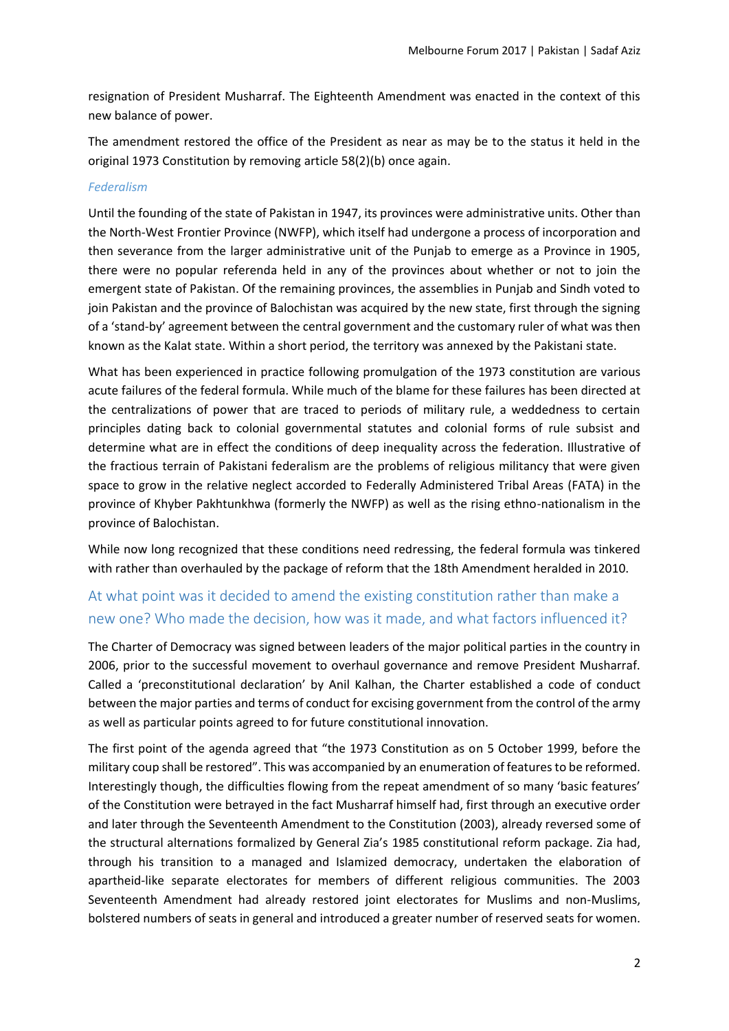resignation of President Musharraf. The Eighteenth Amendment was enacted in the context of this new balance of power.

The amendment restored the office of the President as near as may be to the status it held in the original 1973 Constitution by removing article 58(2)(b) once again.

#### *Federalism*

Until the founding of the state of Pakistan in 1947, its provinces were administrative units. Other than the North-West Frontier Province (NWFP), which itself had undergone a process of incorporation and then severance from the larger administrative unit of the Punjab to emerge as a Province in 1905, there were no popular referenda held in any of the provinces about whether or not to join the emergent state of Pakistan. Of the remaining provinces, the assemblies in Punjab and Sindh voted to join Pakistan and the province of Balochistan was acquired by the new state, first through the signing of a 'stand-by' agreement between the central government and the customary ruler of what was then known as the Kalat state. Within a short period, the territory was annexed by the Pakistani state.

What has been experienced in practice following promulgation of the 1973 constitution are various acute failures of the federal formula. While much of the blame for these failures has been directed at the centralizations of power that are traced to periods of military rule, a weddedness to certain principles dating back to colonial governmental statutes and colonial forms of rule subsist and determine what are in effect the conditions of deep inequality across the federation. Illustrative of the fractious terrain of Pakistani federalism are the problems of religious militancy that were given space to grow in the relative neglect accorded to Federally Administered Tribal Areas (FATA) in the province of Khyber Pakhtunkhwa (formerly the NWFP) as well as the rising ethno-nationalism in the province of Balochistan.

While now long recognized that these conditions need redressing, the federal formula was tinkered with rather than overhauled by the package of reform that the 18th Amendment heralded in 2010.

## At what point was it decided to amend the existing constitution rather than make a new one? Who made the decision, how was it made, and what factors influenced it?

The Charter of Democracy was signed between leaders of the major political parties in the country in 2006, prior to the successful movement to overhaul governance and remove President Musharraf. Called a 'preconstitutional declaration' by Anil Kalhan, the Charter established a code of conduct between the major parties and terms of conduct for excising government from the control of the army as well as particular points agreed to for future constitutional innovation.

The first point of the agenda agreed that "the 1973 Constitution as on 5 October 1999, before the military coup shall be restored". This was accompanied by an enumeration of features to be reformed. Interestingly though, the difficulties flowing from the repeat amendment of so many 'basic features' of the Constitution were betrayed in the fact Musharraf himself had, first through an executive order and later through the Seventeenth Amendment to the Constitution (2003), already reversed some of the structural alternations formalized by General Zia's 1985 constitutional reform package. Zia had, through his transition to a managed and Islamized democracy, undertaken the elaboration of apartheid-like separate electorates for members of different religious communities. The 2003 Seventeenth Amendment had already restored joint electorates for Muslims and non-Muslims, bolstered numbers of seats in general and introduced a greater number of reserved seats for women.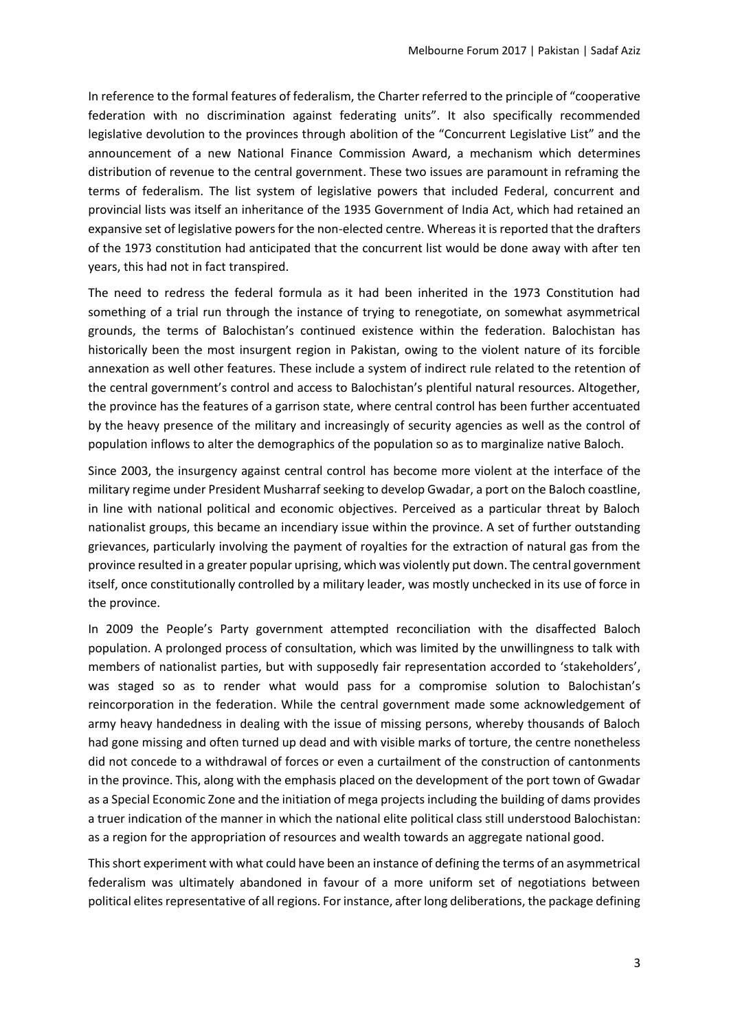In reference to the formal features of federalism, the Charter referred to the principle of "cooperative federation with no discrimination against federating units". It also specifically recommended legislative devolution to the provinces through abolition of the "Concurrent Legislative List" and the announcement of a new National Finance Commission Award, a mechanism which determines distribution of revenue to the central government. These two issues are paramount in reframing the terms of federalism. The list system of legislative powers that included Federal, concurrent and provincial lists was itself an inheritance of the 1935 Government of India Act, which had retained an expansive set of legislative powers for the non-elected centre. Whereas it is reported that the drafters of the 1973 constitution had anticipated that the concurrent list would be done away with after ten years, this had not in fact transpired.

The need to redress the federal formula as it had been inherited in the 1973 Constitution had something of a trial run through the instance of trying to renegotiate, on somewhat asymmetrical grounds, the terms of Balochistan's continued existence within the federation. Balochistan has historically been the most insurgent region in Pakistan, owing to the violent nature of its forcible annexation as well other features. These include a system of indirect rule related to the retention of the central government's control and access to Balochistan's plentiful natural resources. Altogether, the province has the features of a garrison state, where central control has been further accentuated by the heavy presence of the military and increasingly of security agencies as well as the control of population inflows to alter the demographics of the population so as to marginalize native Baloch.

Since 2003, the insurgency against central control has become more violent at the interface of the military regime under President Musharraf seeking to develop Gwadar, a port on the Baloch coastline, in line with national political and economic objectives. Perceived as a particular threat by Baloch nationalist groups, this became an incendiary issue within the province. A set of further outstanding grievances, particularly involving the payment of royalties for the extraction of natural gas from the province resulted in a greater popular uprising, which was violently put down. The central government itself, once constitutionally controlled by a military leader, was mostly unchecked in its use of force in the province.

In 2009 the People's Party government attempted reconciliation with the disaffected Baloch population. A prolonged process of consultation, which was limited by the unwillingness to talk with members of nationalist parties, but with supposedly fair representation accorded to 'stakeholders', was staged so as to render what would pass for a compromise solution to Balochistan's reincorporation in the federation. While the central government made some acknowledgement of army heavy handedness in dealing with the issue of missing persons, whereby thousands of Baloch had gone missing and often turned up dead and with visible marks of torture, the centre nonetheless did not concede to a withdrawal of forces or even a curtailment of the construction of cantonments in the province. This, along with the emphasis placed on the development of the port town of Gwadar as a Special Economic Zone and the initiation of mega projects including the building of dams provides a truer indication of the manner in which the national elite political class still understood Balochistan: as a region for the appropriation of resources and wealth towards an aggregate national good.

This short experiment with what could have been an instance of defining the terms of an asymmetrical federalism was ultimately abandoned in favour of a more uniform set of negotiations between political elites representative of all regions. For instance, after long deliberations, the package defining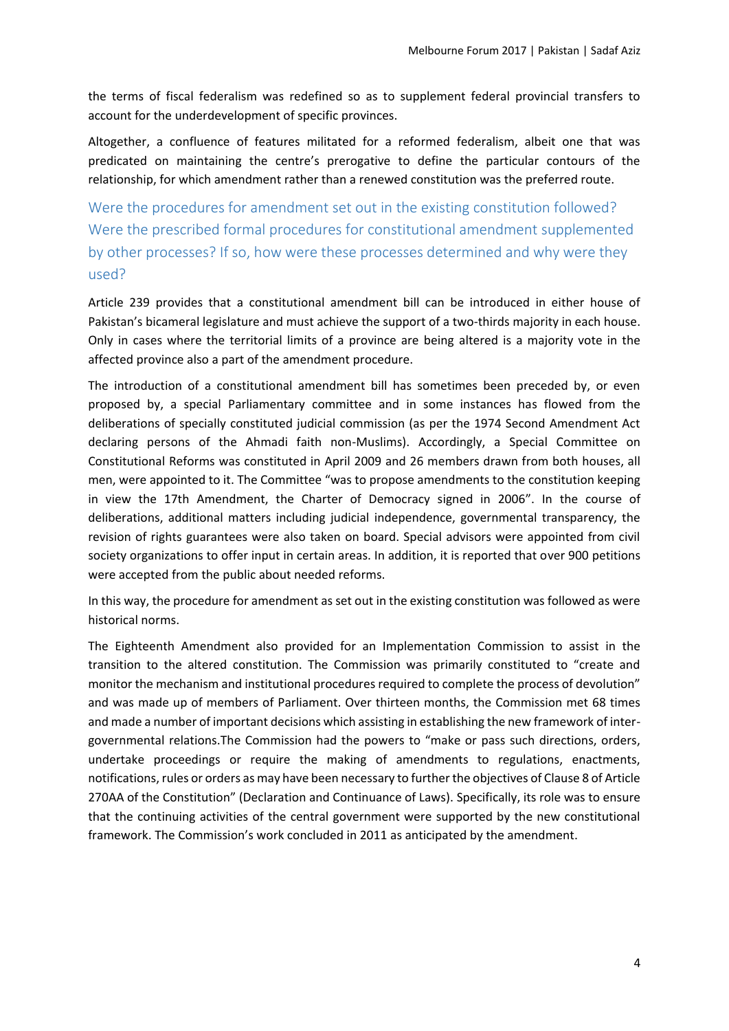the terms of fiscal federalism was redefined so as to supplement federal provincial transfers to account for the underdevelopment of specific provinces.

Altogether, a confluence of features militated for a reformed federalism, albeit one that was predicated on maintaining the centre's prerogative to define the particular contours of the relationship, for which amendment rather than a renewed constitution was the preferred route.

Were the procedures for amendment set out in the existing constitution followed? Were the prescribed formal procedures for constitutional amendment supplemented by other processes? If so, how were these processes determined and why were they used?

Article 239 provides that a constitutional amendment bill can be introduced in either house of Pakistan's bicameral legislature and must achieve the support of a two-thirds majority in each house. Only in cases where the territorial limits of a province are being altered is a majority vote in the affected province also a part of the amendment procedure.

The introduction of a constitutional amendment bill has sometimes been preceded by, or even proposed by, a special Parliamentary committee and in some instances has flowed from the deliberations of specially constituted judicial commission (as per the 1974 Second Amendment Act declaring persons of the Ahmadi faith non-Muslims). Accordingly, a Special Committee on Constitutional Reforms was constituted in April 2009 and 26 members drawn from both houses, all men, were appointed to it. The Committee "was to propose amendments to the constitution keeping in view the 17th Amendment, the Charter of Democracy signed in 2006". In the course of deliberations, additional matters including judicial independence, governmental transparency, the revision of rights guarantees were also taken on board. Special advisors were appointed from civil society organizations to offer input in certain areas. In addition, it is reported that over 900 petitions were accepted from the public about needed reforms.

In this way, the procedure for amendment as set out in the existing constitution was followed as were historical norms.

The Eighteenth Amendment also provided for an Implementation Commission to assist in the transition to the altered constitution. The Commission was primarily constituted to "create and monitor the mechanism and institutional procedures required to complete the process of devolution" and was made up of members of Parliament. Over thirteen months, the Commission met 68 times and made a number of important decisions which assisting in establishing the new framework of intergovernmental relations.The Commission had the powers to "make or pass such directions, orders, undertake proceedings or require the making of amendments to regulations, enactments, notifications, rules or orders as may have been necessary to further the objectives of Clause 8 of Article 270AA of the Constitution" (Declaration and Continuance of Laws). Specifically, its role was to ensure that the continuing activities of the central government were supported by the new constitutional framework. The Commission's work concluded in 2011 as anticipated by the amendment.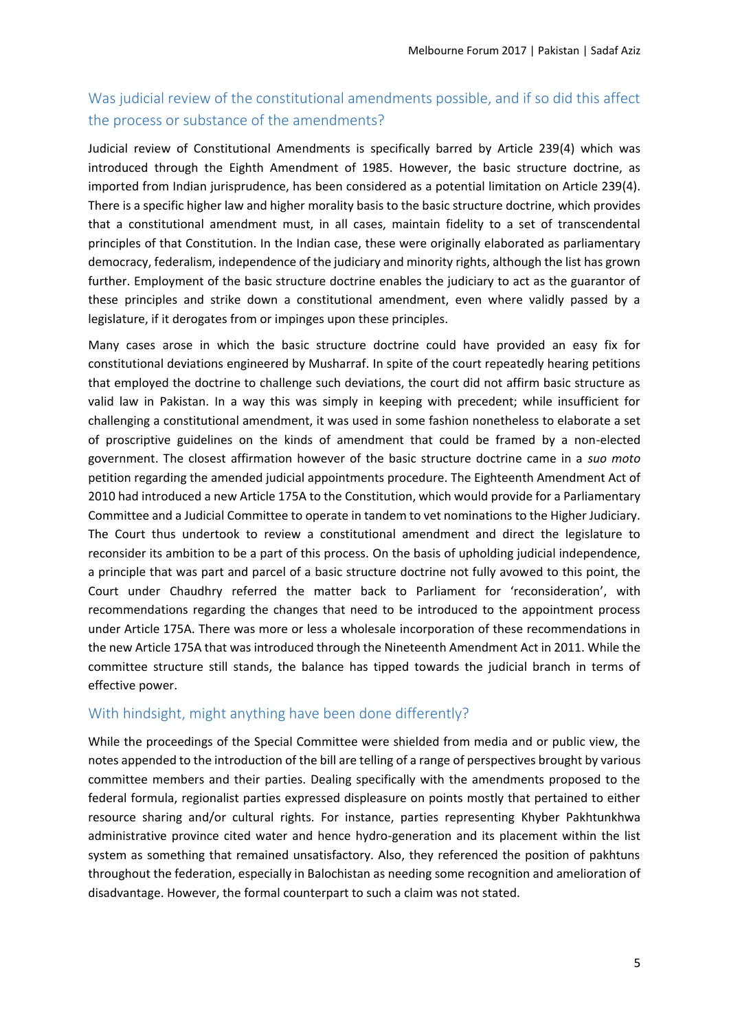# Was judicial review of the constitutional amendments possible, and if so did this affect the process or substance of the amendments?

Judicial review of Constitutional Amendments is specifically barred by Article 239(4) which was introduced through the Eighth Amendment of 1985. However, the basic structure doctrine, as imported from Indian jurisprudence, has been considered as a potential limitation on Article 239(4). There is a specific higher law and higher morality basis to the basic structure doctrine, which provides that a constitutional amendment must, in all cases, maintain fidelity to a set of transcendental principles of that Constitution. In the Indian case, these were originally elaborated as parliamentary democracy, federalism, independence of the judiciary and minority rights, although the list has grown further. Employment of the basic structure doctrine enables the judiciary to act as the guarantor of these principles and strike down a constitutional amendment, even where validly passed by a legislature, if it derogates from or impinges upon these principles.

Many cases arose in which the basic structure doctrine could have provided an easy fix for constitutional deviations engineered by Musharraf. In spite of the court repeatedly hearing petitions that employed the doctrine to challenge such deviations, the court did not affirm basic structure as valid law in Pakistan. In a way this was simply in keeping with precedent; while insufficient for challenging a constitutional amendment, it was used in some fashion nonetheless to elaborate a set of proscriptive guidelines on the kinds of amendment that could be framed by a non-elected government. The closest affirmation however of the basic structure doctrine came in a *suo moto* petition regarding the amended judicial appointments procedure. The Eighteenth Amendment Act of 2010 had introduced a new Article 175A to the Constitution, which would provide for a Parliamentary Committee and a Judicial Committee to operate in tandem to vet nominations to the Higher Judiciary. The Court thus undertook to review a constitutional amendment and direct the legislature to reconsider its ambition to be a part of this process. On the basis of upholding judicial independence, a principle that was part and parcel of a basic structure doctrine not fully avowed to this point, the Court under Chaudhry referred the matter back to Parliament for 'reconsideration', with recommendations regarding the changes that need to be introduced to the appointment process under Article 175A. There was more or less a wholesale incorporation of these recommendations in the new Article 175A that was introduced through the Nineteenth Amendment Act in 2011. While the committee structure still stands, the balance has tipped towards the judicial branch in terms of effective power.

## With hindsight, might anything have been done differently?

While the proceedings of the Special Committee were shielded from media and or public view, the notes appended to the introduction of the bill are telling of a range of perspectives brought by various committee members and their parties. Dealing specifically with the amendments proposed to the federal formula, regionalist parties expressed displeasure on points mostly that pertained to either resource sharing and/or cultural rights. For instance, parties representing Khyber Pakhtunkhwa administrative province cited water and hence hydro-generation and its placement within the list system as something that remained unsatisfactory. Also, they referenced the position of pakhtuns throughout the federation, especially in Balochistan as needing some recognition and amelioration of disadvantage. However, the formal counterpart to such a claim was not stated.